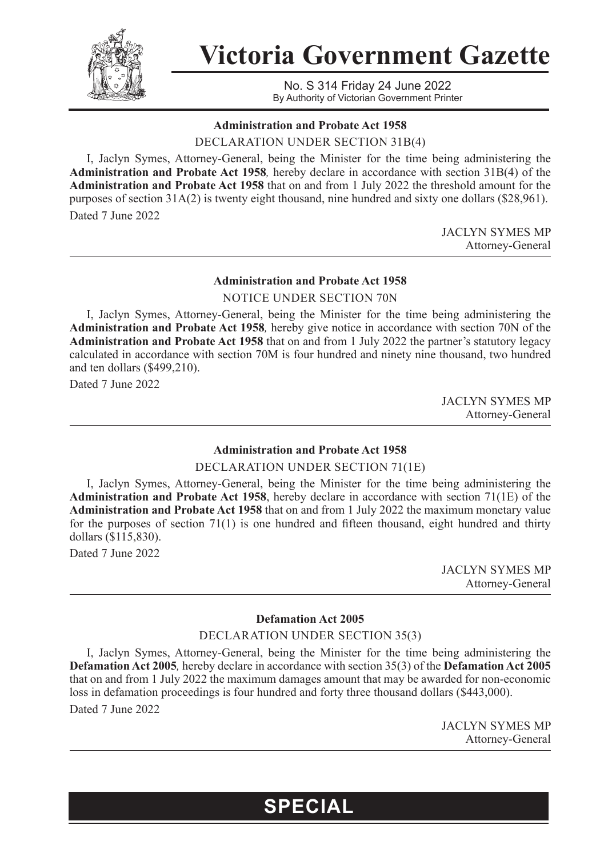

**Victoria Government Gazette**

No. S 314 Friday 24 June 2022 By Authority of Victorian Government Printer

#### **Administration and Probate Act 1958**

DECLARATION UNDER SECTION 31B(4)

I, Jaclyn Symes, Attorney-General, being the Minister for the time being administering the **Administration and Probate Act 1958***,* hereby declare in accordance with section 31B(4) of the **Administration and Probate Act 1958** that on and from 1 July 2022 the threshold amount for the purposes of section 31A(2) is twenty eight thousand, nine hundred and sixty one dollars (\$28,961). Dated 7 June 2022

> JACLYN SYMES MP Attorney-General

### **Administration and Probate Act 1958**

NOTICE UNDER SECTION 70N

I, Jaclyn Symes, Attorney-General, being the Minister for the time being administering the **Administration and Probate Act 1958***,* hereby give notice in accordance with section 70N of the **Administration and Probate Act 1958** that on and from 1 July 2022 the partner's statutory legacy calculated in accordance with section 70M is four hundred and ninety nine thousand, two hundred and ten dollars (\$499,210).

Dated 7 June 2022

JACLYN SYMES MP Attorney-General

#### **Administration and Probate Act 1958**

DECLARATION UNDER SECTION 71(1E)

I, Jaclyn Symes, Attorney-General, being the Minister for the time being administering the **Administration and Probate Act 1958**, hereby declare in accordance with section 71(1E) of the **Administration and Probate Act 1958** that on and from 1 July 2022 the maximum monetary value for the purposes of section  $71(1)$  is one hundred and fifteen thousand, eight hundred and thirty dollars (\$115,830).

Dated 7 June 2022

JACLYN SYMES MP Attorney-General

#### **Defamation Act 2005**

#### DECLARATION UNDER SECTION 35(3)

I, Jaclyn Symes, Attorney-General, being the Minister for the time being administering the **Defamation Act 2005***,* hereby declare in accordance with section 35(3) of the **Defamation Act 2005** that on and from 1 July 2022 the maximum damages amount that may be awarded for non-economic loss in defamation proceedings is four hundred and forty three thousand dollars (\$443,000). Dated 7 June 2022

> JACLYN SYMES MP Attorney-General

## **SPECIAL**